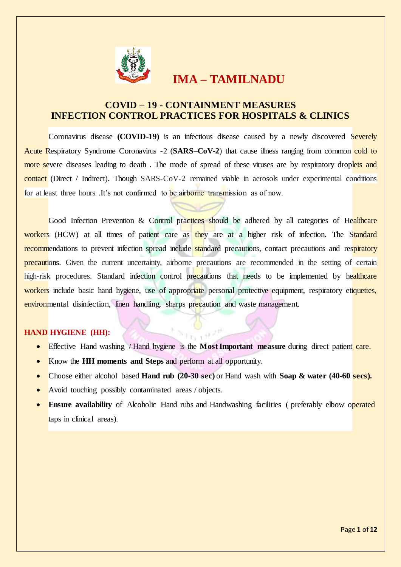

# **IMA – TAMILNADU**

# **COVID – 19 - CONTAINMENT MEASURES INFECTION CONTROL PRACTICES FOR HOSPITALS & CLINICS**

Coronavirus disease **(COVID-19)** is an infectious disease caused by a newly discovered Severely Acute Respiratory Syndrome Coronavirus -2 (SARS–CoV-2) that cause illness ranging from common cold to more severe diseases leading to death. The mode of spread of these viruses are by respiratory droplets and contact (Direct / Indirect). Though SARS-CoV-2 remained viable in aerosols under experimental conditions for at least three hours .It's not confirmed to be airborne transmission as of now.

Good Infection Prevention & Control practices should be adhered by all categories of Healthcare workers (HCW) at all times of patient care as they are at a higher risk of infection. The Standard recommendations to prevent infection spread include standard precautions, contact precautions and respiratory precautions. Given the current uncertainty, airborne precautions are recommended in the setting of certain high-risk procedures. Standard infection control precautions that needs to be implemented by healthcare workers include basic hand hygiene, use of appropriate personal protective equipment, respiratory etiquettes, environmental disinfection, linen handling, sharps precaution and waste management.

### **HAND HYGIENE (HH):**

- Effective Hand washing / Hand hygiene is the **Most Important measure** during direct patient care.
- Know the **HH moments and Steps** and perform at all opportunity.
- Choose either alcohol based **Hand rub (20-30 sec)** or Hand wash with **Soap & water (40-60 secs).**
- Avoid touching possibly contaminated areas / objects.
- **Ensure availability** of Alcoholic Hand rubs and Handwashing facilities ( preferably elbow operated taps in clinical areas).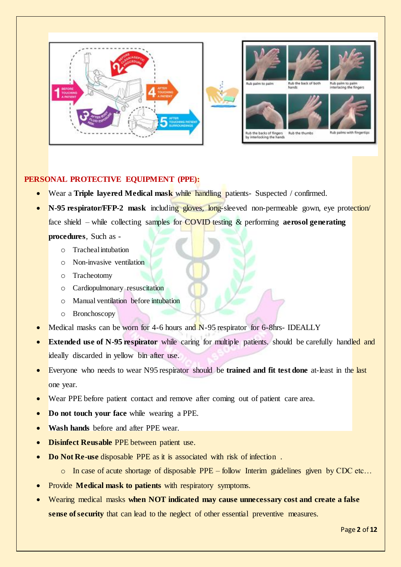

### **PERSONAL PROTECTIVE EQUIPMENT (PPE):**

- Wear a **Triple layered Medical mask** while handling patients- Suspected / confirmed.
- **N-95 respirator/FFP-2 mask** including gloves, long-sleeved non-permeable gown, eye protection/ face shield – while collecting samples for COVID testing & performing **aerosol generating**

**procedures**, Such as -

- o Tracheal intubation
- o Non-invasive ventilation
- o Tracheotomy
- o Cardiopulmonary resuscitation
- o Manual ventilation before intubation
- o Bronchoscopy
- Medical masks can be worn for 4-6 hours and N-95 respirator for 6-8hrs- IDEALLY
- **Extended use of N-95 respirator** while caring for multiple patients. should be carefully handled and ideally discarded in yellow bin after use.
- Everyone who needs to wear N95 respirator should be **trained and fit test done** at-least in the last one year.
- Wear PPE before patient contact and remove after coming out of patient care area.
- **Do not touch your face** while wearing a PPE.
- **Wash hands** before and after PPE wear.
- **Disinfect Reusable** PPE between patient use.
- **Do Not Re-use** disposable PPE as it is associated with risk of infection.
	- o In case of acute shortage of disposable PPE follow Interim guidelines given by CDC etc…
- Provide **Medical mask to patients** with respiratory symptoms.
- Wearing medical masks **when NOT indicated may cause unnecessary cost and create a false sense of security** that can lead to the neglect of other essential preventive measures.

Page **2** of **12**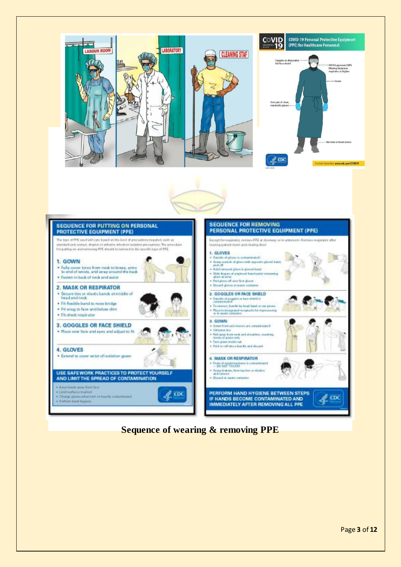





**Sequence of wearing & removing PPE**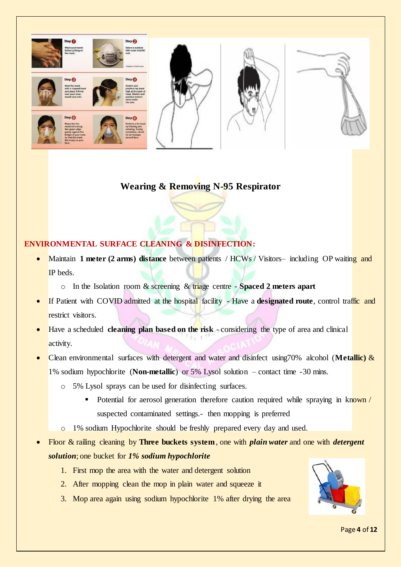

# **Wearing & Removing N-95 Respirator**

## **ENVIRONMENTAL SURFACE CLEANING & DISINFECTION:**

- Maintain **1 meter (2 arms) distance** between patients / HCWs / Visitors– including OP waiting and IP beds.
	- o In the Isolation room & screening & triage centre **Spaced 2 meters apart**
- If Patient with COVID admitted at the hospital facility Have a **designated route**, control traffic and restrict visitors.
- Have a scheduled **cleaning plan based on the risk** considering the type of area and clinical activity.
- Clean environmental surfaces with detergent and water and disinfect using70% alcohol (**Metallic)** & 1% sodium hypochlorite (**Non-metallic**) or 5% Lysol solution – contact time -30 mins.
	- o 5% Lysol sprays can be used for disinfecting surfaces.
		- Potential for aerosol generation therefore caution required while spraying in known / suspected contaminated settings.- then mopping is preferred
	- o 1% sodium Hypochlorite should be freshly prepared every day and used.
- Floor & railing cleaning by **Three buckets system**, one with *plain water* and one with *detergent solution*; one bucket for *1% sodium hypochlorite*
	- 1. First mop the area with the water and detergent solution
	- 2. After mopping clean the mop in plain water and squeeze it
	- 3. Mop area again using sodium hypochlorite 1% after drying the area



Page **4** of **12**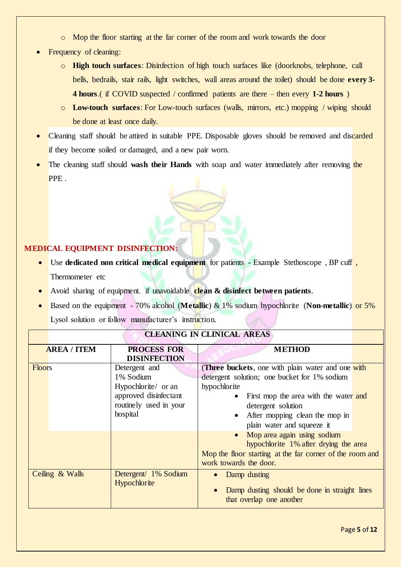- o Mop the floor starting at the far corner of the room and work towards the door
- Frequency of cleaning:
	- o **High touch surfaces**: Disinfection of high touch surfaces like (doorknobs, telephone, call bells, bedrails, stair rails, light switches, wall areas around the toilet) should be done **every 3- 4 hours**.( if COVID suspected / confirmed patients are there – then every **1-2 hours** )
	- o **Low-touch surfaces**: For Low-touch surfaces (walls, mirrors, etc.) mopping / wiping should be done at least once daily.
- Cleaning staff should be attired in suitable PPE. Disposable gloves should be removed and discarded if they become soiled or damaged, and a new pair worn.
- The cleaning staff should **wash their Hands** with soap and water immediately after removing the PPE.

## **MEDICAL EQUIPMENT DISINFECTION:**

- Use **dedicated non critical medical equipment** for patients Example Stethoscope , BP cuff , Thermometer etc
- Avoid sharing of equipment. if unavoidable **clean & disinfect between patients**.
- Based on the equipment 70% alcohol (**Metallic**) & 1% sodium hypochlorite (**Non-metallic**) or 5% Lysol solution or follow manufacturer's instruction.

|                 | <b>AREA / ITEM</b> | <b>PROCESS FOR</b>                                                                                               | <b>METHOD</b>                                                                                                                                                                                                                                                   |  |
|-----------------|--------------------|------------------------------------------------------------------------------------------------------------------|-----------------------------------------------------------------------------------------------------------------------------------------------------------------------------------------------------------------------------------------------------------------|--|
|                 |                    | <b>DISINFECTION</b>                                                                                              |                                                                                                                                                                                                                                                                 |  |
| <b>Floors</b>   |                    | Detergent and<br>1% Sodium<br>Hypochlorite/ or an<br>approved disinfectant<br>routinely used in your<br>hospital | (Three buckets, one with plain water and one with<br>detergent solution; one bucket for 1% sodium<br>hypochlorite<br>• First mop the area with the water and<br>detergent solution<br>After mopping clean the mop in<br>$\bullet$<br>plain water and squeeze it |  |
|                 |                    |                                                                                                                  | • Mop area again using sodium<br>hypochlorite 1% after drying the area<br>Mop the floor starting at the far corner of the room and<br>work towards the door.                                                                                                    |  |
| Ceiling & Walls |                    | Detergent/ 1% Sodium<br>Hypochlorite                                                                             | Damp dusting<br>$\bullet$<br>Damp dusting should be done in straight lines<br>that overlap one another                                                                                                                                                          |  |

# **CLEANING IN CLINICAL AREAS**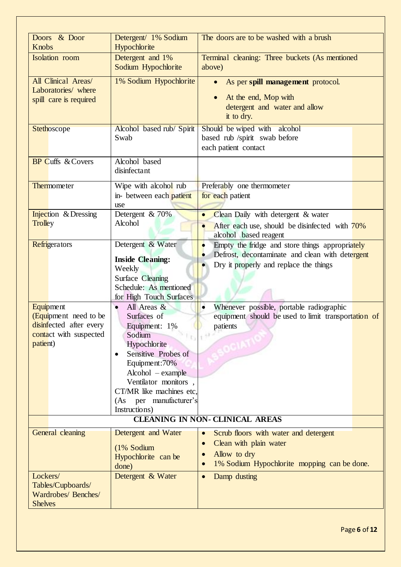| Doors & Door<br><b>Knobs</b>                                                                               | Detergent/ 1% Sodium<br>Hypochlorite                                                                                                                                                                                                                             | The doors are to be washed with a brush                                                                                                                  |  |  |
|------------------------------------------------------------------------------------------------------------|------------------------------------------------------------------------------------------------------------------------------------------------------------------------------------------------------------------------------------------------------------------|----------------------------------------------------------------------------------------------------------------------------------------------------------|--|--|
| <b>Isolation</b> room                                                                                      | Detergent and 1%<br>Sodium Hypochlorite                                                                                                                                                                                                                          | Terminal cleaning: Three buckets (As mentioned<br>above)                                                                                                 |  |  |
| All Clinical Areas/<br>Laboratories/ where<br>spill care is required                                       | 1% Sodium Hypochlorite                                                                                                                                                                                                                                           | As per spill management protocol.<br>$\bullet$<br>At the end, Mop with<br>detergent and water and allow<br>it to dry.                                    |  |  |
| Stethoscope                                                                                                | Alcohol based rub/ Spirit<br>Swab                                                                                                                                                                                                                                | Should be wiped with alcohol<br>based rub /spirit swab before<br>each patient contact                                                                    |  |  |
| <b>BP Cuffs &amp; Covers</b>                                                                               | Alcohol based<br>disinfectant                                                                                                                                                                                                                                    |                                                                                                                                                          |  |  |
| Thermometer                                                                                                | Wipe with alcohol rub<br>in- between each patient<br>use                                                                                                                                                                                                         | Preferably one thermometer<br>for each patient                                                                                                           |  |  |
| <b>Injection</b> & Dressing<br><b>Trolley</b>                                                              | Detergent & 70%<br>Alcohol                                                                                                                                                                                                                                       | Clean Daily with detergent & water<br>After each use, should be disinfected with 70%<br>alcohol based reagent                                            |  |  |
| Refrigerators                                                                                              | Detergent & Water<br><b>Inside Cleaning:</b><br>Weekly<br><b>Surface Cleaning</b><br>Schedule: As mentioned<br>for High Touch Surfaces                                                                                                                           | Empty the fridge and store things appropriately<br>Defrost, decontaminate and clean with detergent<br>Dry it properly and replace the things             |  |  |
| <b>Equipment</b><br>(Equipment need to be<br>disinfected after every<br>contact with suspected<br>patient) | All Areas &<br>$\bullet$<br>Surfaces of<br>Equipment: 1%<br>$s_{11}$<br>Sodium<br>Hypochlorite<br>Sensitive Probes of<br>Equipment: 70%<br>$Alcohol - example$<br>Ventilator monitors,<br>CT/MR like machines etc.<br>per manufacturer's<br>(As<br>Instructions) | Whenever possible, portable radiographic<br>$\bullet$<br>equipment should be used to limit transportation of<br>patients<br>$+11 -$                      |  |  |
| <b>CLEANING IN NON- CLINICAL AREAS</b>                                                                     |                                                                                                                                                                                                                                                                  |                                                                                                                                                          |  |  |
| <b>General cleaning</b>                                                                                    | Detergent and Water<br>(1% Sodium<br>Hypochlorite can be<br>done)                                                                                                                                                                                                | Scrub floors with water and detergent<br>$\bullet$<br>Clean with plain water<br>$\bullet$<br>Allow to dry<br>1% Sodium Hypochlorite mopping can be done. |  |  |
| Lockers/<br>Tables/Cupboards/<br>Wardrobes/ Benches/<br><b>Shelves</b>                                     | Detergent & Water                                                                                                                                                                                                                                                | Damp dusting<br>$\bullet$                                                                                                                                |  |  |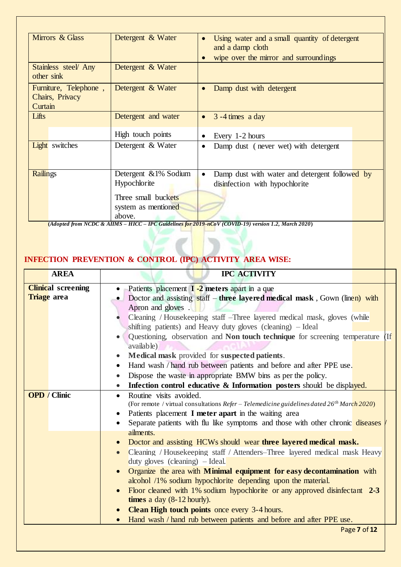| Mirrors & Glass                                     | Detergent & Water        | Using water and a small quantity of detergent<br>and a damp cloth |
|-----------------------------------------------------|--------------------------|-------------------------------------------------------------------|
|                                                     |                          | wipe over the mirror and surroundings                             |
| Stainless steel Any<br>other sink                   | Detergent & Water        |                                                                   |
| Furniture, Telephone,<br>Chairs, Privacy<br>Curtain | Detergent & Water        | Damp dust with detergent<br>$\bullet$                             |
| Lifts                                               | Detergent and water      | $3 - 4$ times a day<br>$\bullet$                                  |
|                                                     | High touch points        | Every 1-2 hours                                                   |
| Light switches                                      | Detergent & Water        | Damp dust (never wet) with detergent                              |
| <b>Railings</b>                                     | Detergent & 1% Sodium    | Damp dust with water and detergent followed by<br>$\bullet$       |
|                                                     | Hypochlorite             | disinfection with hypochlorite                                    |
|                                                     | Three small buckets      |                                                                   |
|                                                     | system as mentioned      |                                                                   |
|                                                     | above.<br>$T0$ $T1$ $T1$ | $\mathbf{r}$ and $\mathbf{r}$                                     |

**(***Adopted from NCDC & AIIMS – HICC – IPC Guidelines for 2019-nCoV (COVID-19) version 1.2, March 2020***)**

# **INFECTION PREVENTION & CONTROL (IPC) ACTIVITY AREA WISE:**

| <b>AREA</b>                                     | <b>IPC ACTIVITY</b>                                                                                                                                                                                                                                                                                                                                                                                                                                                                                                                                                                                                                                                                                                                             |  |
|-------------------------------------------------|-------------------------------------------------------------------------------------------------------------------------------------------------------------------------------------------------------------------------------------------------------------------------------------------------------------------------------------------------------------------------------------------------------------------------------------------------------------------------------------------------------------------------------------------------------------------------------------------------------------------------------------------------------------------------------------------------------------------------------------------------|--|
| <b>Clinical</b> screening<br><b>Triage</b> area | Patients placement <b>I</b> -2 meters apart in a que<br>Doctor and assisting staff – three layered medical mask, Gown (linen) with<br>Apron and gloves.<br>Cleaning / Housekeeping staff - Three layered medical mask, gloves (while<br>shifting patients) and Heavy duty gloves (cleaning) - Ideal<br>Questioning, observation and Non touch technique for screening temperature<br><b>Tf</b><br>available)<br>Medical mask provided for suspected patients.<br>Hand wash / hand rub between patients and before and after PPE use.<br>Dispose the waste in appropriate BMW bins as per the policy.<br>Infection control educative & Information posters should be displayed.                                                                  |  |
| <b>OPD</b> / Clinic                             | Routine visits avoided.<br>(For remote / virtual consultations Refer - Telemedicine guidelines dated 26 <sup>th</sup> March 2020)<br>Patients placement I meter apart in the waiting area<br>Separate patients with flu like symptoms and those with other chronic diseases<br>ailments.<br>Doctor and assisting HCWs should wear three layered medical mask.<br>Cleaning / Housekeeping staff / Attenders-Three layered medical mask Heavy<br>duty gloves (cleaning) $-$ Ideal.<br>Organize the area with <b>Minimal equipment for easy decontamination</b> with<br>alcohol /1% sodium hypochlorite depending upon the material.<br>Floor cleaned with 1% sodium hypochlorite or any approved disinfectant 2-3<br>times a day $(8-12$ hourly). |  |
|                                                 | <b>Clean High touch points</b> once every 3-4 hours.<br>Hand wash / hand rub between patients and before and after PPE use.<br>$\bullet$                                                                                                                                                                                                                                                                                                                                                                                                                                                                                                                                                                                                        |  |
|                                                 | Page 7 of 12                                                                                                                                                                                                                                                                                                                                                                                                                                                                                                                                                                                                                                                                                                                                    |  |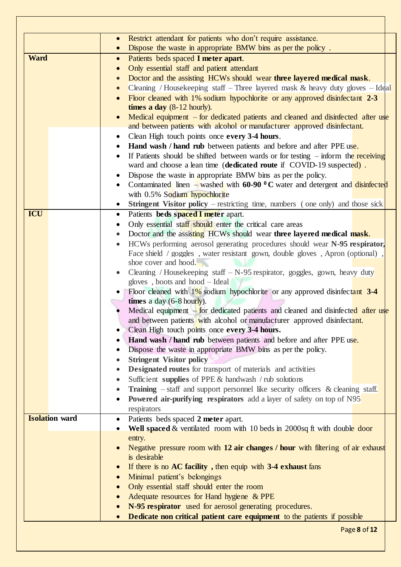| Restrict attendant for patients who don't require assistance.<br>$\bullet$<br>Dispose the waste in appropriate BMW bins as per the policy.<br><b>Ward</b><br>Patients beds spaced I meter apart.<br>$\bullet$<br>Only essential staff and patient attendant<br>Doctor and the assisting HCWs should wear three layered medical mask. |  |
|--------------------------------------------------------------------------------------------------------------------------------------------------------------------------------------------------------------------------------------------------------------------------------------------------------------------------------------|--|
|                                                                                                                                                                                                                                                                                                                                      |  |
|                                                                                                                                                                                                                                                                                                                                      |  |
|                                                                                                                                                                                                                                                                                                                                      |  |
|                                                                                                                                                                                                                                                                                                                                      |  |
|                                                                                                                                                                                                                                                                                                                                      |  |
| Cleaning / Housekeeping staff – Three layered mask $\&$ heavy duty gloves – Ideal                                                                                                                                                                                                                                                    |  |
| Floor cleaned with 1% sodium hypochlorite or any approved disinfectant 2-3                                                                                                                                                                                                                                                           |  |
| times a day $(8-12$ hourly).                                                                                                                                                                                                                                                                                                         |  |
| Medical equipment – for dedicated patients and cleaned and disinfected after use                                                                                                                                                                                                                                                     |  |
| and between patients with alcohol or manufacturer approved disinfectant.                                                                                                                                                                                                                                                             |  |
| Clean High touch points once every 3-4 hours.<br>$\bullet$                                                                                                                                                                                                                                                                           |  |
| Hand wash / hand rub between patients and before and after PPE use.                                                                                                                                                                                                                                                                  |  |
| If Patients should be shifted between wards or for testing $-$ inform the receiving                                                                                                                                                                                                                                                  |  |
| ward and choose a lean time (dedicated route if COVID-19 suspected).                                                                                                                                                                                                                                                                 |  |
| Dispose the waste in appropriate BMW bins as per the policy.                                                                                                                                                                                                                                                                         |  |
| Contaminated linen – washed with 60-90 $\rm{^0C}$ water and detergent and disinfected                                                                                                                                                                                                                                                |  |
| with 0.5% Sodium hypochlorite                                                                                                                                                                                                                                                                                                        |  |
| <b>Stringent Visitor policy</b> – restricting time, numbers (one only) and those sick                                                                                                                                                                                                                                                |  |
| ICU<br>Patients beds spaced I meter apart.<br>$\bullet$                                                                                                                                                                                                                                                                              |  |
| Only essential staff should enter the critical care areas                                                                                                                                                                                                                                                                            |  |
| Doctor and the assisting HCWs should wear three layered medical mask.                                                                                                                                                                                                                                                                |  |
| HCWs performing aerosol generating procedures should wear N-95 respirator,                                                                                                                                                                                                                                                           |  |
| Face shield / goggles, water resistant gown, double gloves, Apron (optional)                                                                                                                                                                                                                                                         |  |
| shoe cover and hood.                                                                                                                                                                                                                                                                                                                 |  |
| Cleaning / Housekeeping staff $-N-95$ respirator, goggles, gown, heavy duty                                                                                                                                                                                                                                                          |  |
| gloves, boots and hood - Ideal                                                                                                                                                                                                                                                                                                       |  |
| Floor cleaned with $1\%$ sodium hypochlorite or any approved disinfectant 3-4                                                                                                                                                                                                                                                        |  |
| times a day $(6-8 \text{ hour})$ .                                                                                                                                                                                                                                                                                                   |  |
| Medical equipment – for dedicated patients and cleaned and disinfected after use                                                                                                                                                                                                                                                     |  |
| and between patients with alcohol or manufacturer approved disinfectant.                                                                                                                                                                                                                                                             |  |
| Clean High touch points once every 3-4 hours.                                                                                                                                                                                                                                                                                        |  |
| Hand wash / hand rub between patients and before and after PPE use.                                                                                                                                                                                                                                                                  |  |
| Dispose the waste in appropriate BMW bins as per the policy.                                                                                                                                                                                                                                                                         |  |
| <b>Stringent Visitor policy</b><br>$\bullet$                                                                                                                                                                                                                                                                                         |  |
| Designated routes for transport of materials and activities                                                                                                                                                                                                                                                                          |  |
| Sufficient supplies of PPE $&$ handwash / rub solutions                                                                                                                                                                                                                                                                              |  |
| Training – staff and support personnel like security officers & cleaning staff.<br>$\bullet$                                                                                                                                                                                                                                         |  |
| Powered air-purifying respirators add a layer of safety on top of N95<br>٠                                                                                                                                                                                                                                                           |  |
| respirators                                                                                                                                                                                                                                                                                                                          |  |
| <b>Isolation</b> ward                                                                                                                                                                                                                                                                                                                |  |
| Patients beds spaced 2 meter apart.<br>$\bullet$<br>Well spaced & ventilated room with 10 beds in 2000sq ft with double door                                                                                                                                                                                                         |  |
|                                                                                                                                                                                                                                                                                                                                      |  |
| entry.<br>Negative pressure room with 12 air changes / hour with filtering of air exhaust                                                                                                                                                                                                                                            |  |
| is desirable                                                                                                                                                                                                                                                                                                                         |  |
|                                                                                                                                                                                                                                                                                                                                      |  |
| If there is no $AC$ facility, then equip with $3-4$ exhaust fans                                                                                                                                                                                                                                                                     |  |
| Minimal patient's belongings                                                                                                                                                                                                                                                                                                         |  |
| Only essential staff should enter the room                                                                                                                                                                                                                                                                                           |  |
| Adequate resources for Hand hygiene & PPE<br>$\bullet$                                                                                                                                                                                                                                                                               |  |
| N-95 respirator used for aerosol generating procedures.                                                                                                                                                                                                                                                                              |  |
| Dedicate non critical patient care equipment to the patients if possible                                                                                                                                                                                                                                                             |  |

٦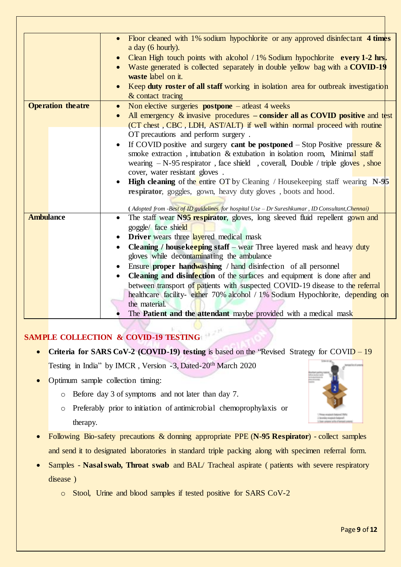|                          | Floor cleaned with 1% sodium hypochlorite or any approved disinfectant 4 times<br>a day (6 hourly).<br>• Clean High touch points with alcohol / 1% Sodium hypochlorite every 1-2 hrs.<br>• Waste generated is collected separately in double yellow bag with a COVID-19<br>waste label on it.<br>Keep duty roster of all staff working in isolation area for outbreak investigation<br>& contact tracing                                                                                                                                                                                                                                                                                                                     |  |  |
|--------------------------|------------------------------------------------------------------------------------------------------------------------------------------------------------------------------------------------------------------------------------------------------------------------------------------------------------------------------------------------------------------------------------------------------------------------------------------------------------------------------------------------------------------------------------------------------------------------------------------------------------------------------------------------------------------------------------------------------------------------------|--|--|
| <b>Operation theatre</b> | Non elective surgeries $postcone - at least 4 weeks$<br>$\bullet$<br>All emergency $\&$ invasive procedures – consider all as COVID positive and test<br>(CT chest, CBC, LDH, AST/ALT) if well within normal proceed with routine<br>OT precautions and perform surgery.                                                                                                                                                                                                                                                                                                                                                                                                                                                     |  |  |
|                          | If COVID positive and surgery <b>cant be postponed</b> – Stop Positive pressure &<br>smoke extraction, intubation & extubation in isolation room, Minimal staff<br>wearing $-N-95$ respirator, face shield, coverall, Double / triple gloves, shoe<br>cover, water resistant gloves.<br><b>High cleaning</b> of the entire OT by Cleaning / Housekeeping staff wearing N-95<br>respirator, goggles, gown, heavy duty gloves, boots and hood.<br>(Adopted from -Best of ID guidelines for hospital Use - Dr Sureshkumar, ID Consultant, Chennai)                                                                                                                                                                              |  |  |
| <b>Ambulance</b>         | The staff wear N95 respirator, gloves, long sleeved fluid repellent gown and<br>goggle/ face shield<br><b>Driver</b> wears three layered medical mask<br>$\bullet$<br><b>Cleaning / housekeeping staff</b> – wear Three layered mask and heavy duty<br>$\bullet$<br>gloves while decontaminating the ambulance<br>Ensure <b>proper handwashing</b> / hand disinfection of all personnel<br>Cleaning and disinfection of the surfaces and equipment is done after and<br>between transport of patients with suspected COVID-19 disease to the referral<br>healthcare facility- either 70% alcohol / 1% Sodium Hypochlorite, depending on<br>the material.<br>The Patient and the attendant maybe provided with a medical mask |  |  |

# **SAMPLE COLLECTION & COVID-19 TESTING**

- **Criteria for SARS CoV-2 (COVID-19) testing** is based on the "Revised Strategy for COVID 19 Testing in India" by IMCR , Version -3, Dated-20th March 2020
- Optimum sample collection timing:
	- o Before day 3 of symptoms and not later than day 7.
	- o Preferably prior to initiation of antimicrobial chemoprophylaxis or therapy.
- Following Bio-safety precautions & donning appropriate PPE (**N-95 Respirator**) collect samples and send it to designated laboratories in standard triple packing along with specimen referral form.
- Samples **Nasal swab, Throat swab** and BAL/ Tracheal aspirate ( patients with severe respiratory disease )
	- o Stool, Urine and blood samples if tested positive for SARS CoV-2

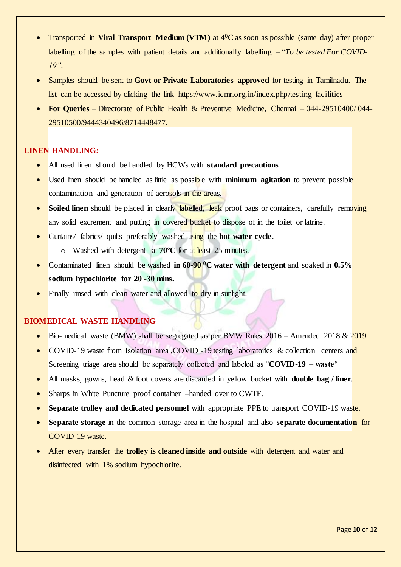- Transported in **Viral Transport Medium (VTM)** at 4<sup>0</sup>C as soon as possible (same day) after proper labelling of the samples with patient details and additionally labelling – "*To be tested For COVID-19".*
- Samples should be sent to **Govt or Private Laboratories approved** for testing in Tamilnadu. The list can be accessed by clicking the link https://www.icmr.org.in/index.php/testing-facilities
- **For Queries** Directorate of Public Health & Preventive Medicine, Chennai 044-29510400/ 044- 29510500/9444340496/8714448477.

### **LINEN HANDLING:**

- All used linen should be handled by HCWs with **standard precautions**.
- Used linen should be handled as little as possible with **minimum agitation** to prevent possible contamination and generation of aerosols in the areas.
- **Soiled linen** should be placed in clearly labelled, leak proof bags or containers, carefully removing any solid excrement and putting in covered bucket to dispose of in the toilet or latrine.
- Curtains/ fabrics/ quilts preferably washed using the **hot water cycle**.
	- o Washed with detergent at **70ºC** for at least 25 minutes.
- Contaminated linen should be washed **in 60-90 <sup>0</sup>C water with detergent** and soaked in **0.5% sodium hypochlorite for 20 -30 mins.**
- Finally rinsed with clean water and allowed to dry in sunlight.

### **BIOMEDICAL WASTE HANDLING**

- Bio-medical waste (BMW) shall be segregated as per BMW Rules 2016 Amended 2018 & 2019
- COVID-19 waste from Isolation area ,COVID -19 testing laboratories & collection centers and Screening triage area should be separately collected and labeled as "**COVID-19 – waste'**
- All masks, gowns, head & foot covers are discarded in yellow bucket with **double bag / liner**.
- Sharps in White Puncture proof container –handed over to CWTF.
- **Separate trolley and dedicated personnel** with appropriate PPE to transport COVID-19 waste.
- **Separate storage** in the common storage area in the hospital and also **separate documentation** for COVID-19 waste.
- After every transfer the **trolley is cleaned inside and outside** with detergent and water and disinfected with 1% sodium hypochlorite.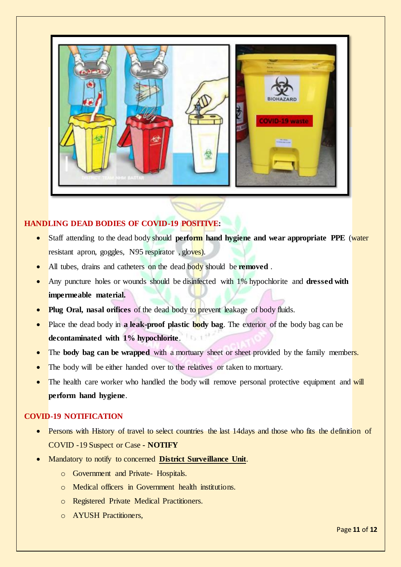

### **HANDLING DEAD BODIES OF COVID-19 POSITIVE:**

- Staff attending to the dead body should **perform hand hygiene and wear appropriate PPE** (water resistant apron, goggles, N95 respirator, gloves).
- All tubes, drains and catheters on the dead body should be **removed** .
- Any puncture holes or wounds should be disinfected with 1% hypochlorite and **dressed with impermeable material.**
- **Plug Oral, nasal orifices** of the dead body to prevent leakage of body fluids.
- Place the dead body in **a leak-proof plastic body bag**. The exterior of the body bag can be **decontaminated with 1% hypochlorite**.
- The **body bag can be wrapped** with a mortuary sheet or sheet provided by the family members.
- The body will be either handed over to the relatives or taken to mortuary.
- The health care worker who handled the body will remove personal protective equipment and will **perform hand hygiene**.

### **COVID-19 NOTIFICATION**

- Persons with History of travel to select countries the last 14days and those who fits the definition of COVID -19 Suspect or Case **- NOTIFY**
- Mandatory to notify to concerned **District Surveillance Unit**.
	- o Government and Private- Hospitals.
	- o Medical officers in Government health institutions.
	- o Registered Private Medical Practitioners.
	- o AYUSH Practitioners,